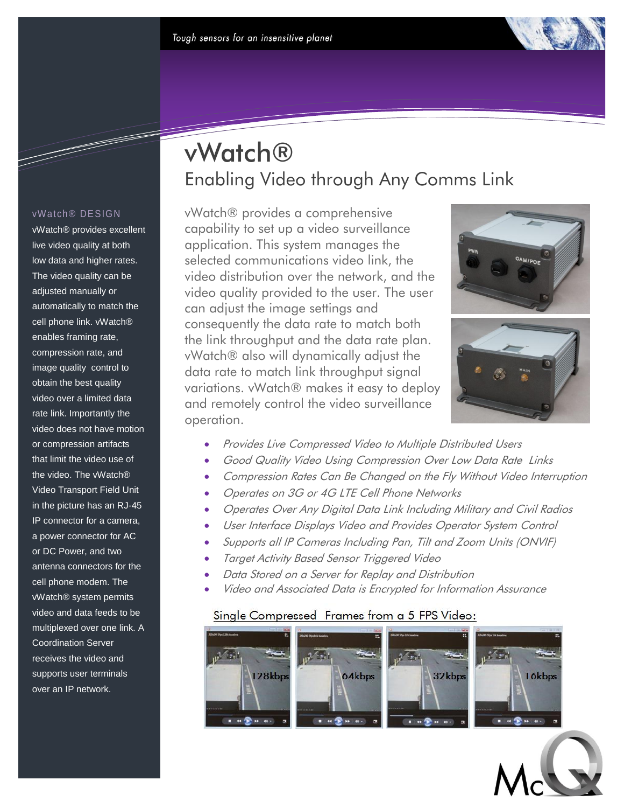#### vWatch® DESIGN

<u>Santa Contra Contra Contra Contra Contra Contra Contra Contra Contra Contra Contra Contra Contra Contra Contra</u>

vWatch® provides excellent live video quality at both low data and higher rates. The video quality can be adjusted manually or automatically to match the cell phone link. vWatch® enables framing rate, compression rate, and image quality control to obtain the best quality video over a limited data rate link. Importantly the video does not have motion or compression artifacts that limit the video use of the video. The vWatch® Video Transport Field Unit in the picture has an RJ-45 IP connector for a camera, a power connector for AC or DC Power, and two antenna connectors for the cell phone modem. The vWatch® system permits video and data feeds to be multiplexed over one link. A Coordination Server receives the video and supports user terminals over an IP network.

# vWatch® Enabling Video through Any Comms Link

vWatch® provides a comprehensive capability to set up a video surveillance application. This system manages the selected communications video link, the video distribution over the network, and the video quality provided to the user. The user can adjust the image settings and consequently the data rate to match both the link throughput and the data rate plan. vWatch® also will dynamically adjust the data rate to match link throughput signal variations. vWatch® makes it easy to deploy and remotely control the video surveillance operation.





- Provides Live Compressed Video to Multiple Distributed Users
- Good Quality Video Using Compression Over Low Data Rate Links
- Compression Rates Can Be Changed on the Fly Without Video Interruption
- Operates on 3G or 4G LTE Cell Phone Networks
- Operates Over Any Digital Data Link Including Military and Civil Radios
- User Interface Displays Video and Provides Operator System Control
- Supports all IP Cameras Including Pan, Tilt and Zoom Units (ONVIF)
- Target Activity Based Sensor Triggered Video
- Data Stored on a Server for Replay and Distribution
- Video and Associated Data is Encrypted for Information Assurance

### Single Compressed Frames from a 5 FPS Video: